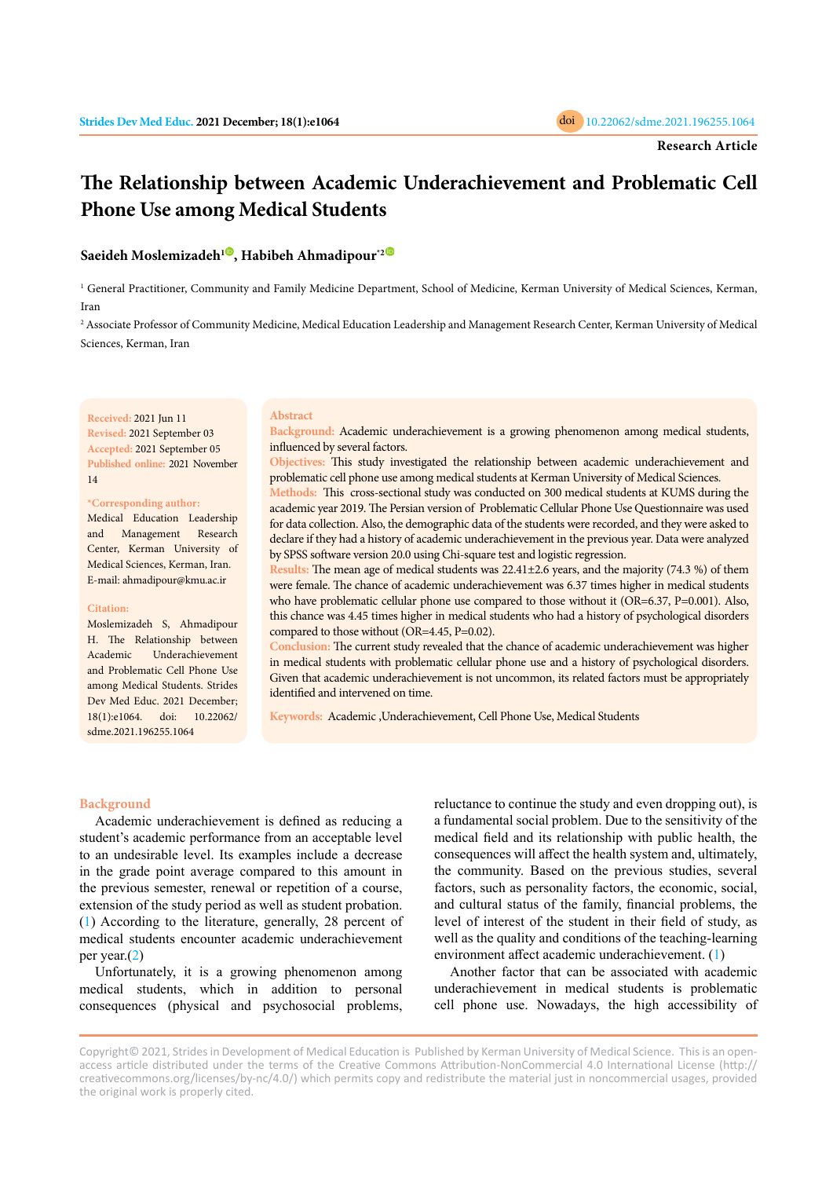

# **The Relationship between Academic Underachievement and Problematic Cell Phone Use among Medical Students**

# **Saeideh Moslemizadeh<sup>1</sup> [,](https://orcid.org/0000-0002-9264-8861) Habibeh Ahmadipour\*[2](https://orcid.org/0000-0001-5880-451X)**

<sup>1</sup> General Practitioner, Community and Family Medicine Department, School of Medicine, Kerman University of Medical Sciences, Kerman, Iran

2 Associate Professor of Community Medicine, Medical Education Leadership and Management Research Center, Kerman University of Medical Sciences, Kerman, Iran

**Received:** 2021 Jun 11 **Revised:** 2021 September 03 **Accepted:** 2021 September 05 **Published online:** 2021 November 14

## **\*Corresponding author:**

Medical Education Leadership and Management Research Center, Kerman University of Medical Sciences, Kerman, Iran. E-mail: ahmadipour@kmu.ac.ir

#### **Citation:**

Moslemizadeh S, Ahmadipour H. The Relationship between Academic Underachievement and Problematic Cell Phone Use among Medical Students. Strides Dev Med Educ. 2021 December; 18(1):e1064. doi: 10.22062/ sdme.2021.196255.1064

#### **Abstract**

**Background:** Academic underachievement is a growing phenomenon among medical students, influenced by several factors.

**Objectives:** This study investigated the relationship between academic underachievement and problematic cell phone use among medical students at Kerman University of Medical Sciences.

**Methods:** This cross-sectional study was conducted on 300 medical students at KUMS during the academic year 2019. The Persian version of Problematic Cellular Phone Use Questionnaire was used for data collection. Also, the demographic data of the students were recorded, and they were asked to declare if they had a history of academic underachievement in the previous year. Data were analyzed by SPSS software version 20.0 using Chi-square test and logistic regression.

**Results:** The mean age of medical students was 22.41±2.6 years, and the majority (74.3 %) of them were female. The chance of academic underachievement was 6.37 times higher in medical students who have problematic cellular phone use compared to those without it (OR=6.37, P=0.001). Also, this chance was 4.45 times higher in medical students who had a history of psychological disorders compared to those without (OR=4.45, P=0.02).

**Conclusion:** The current study revealed that the chance of academic underachievement was higher in medical students with problematic cellular phone use and a history of psychological disorders. Given that academic underachievement is not uncommon, its related factors must be appropriately identified and intervened on time.

**Keywords:** Academic ,Underachievement, Cell Phone Use, Medical Students

## **Background**

Academic underachievement is defined as reducing a student's academic performance from an acceptable level to an undesirable level. Its examples include a decrease in the grade point average compared to this amount in the previous semester, renewal or repetition of a course, extension of the study period as well as student probation. [\(1](#page-3-0)) According to the literature, generally, 28 percent of medical students encounter academic underachievement per year.([2](#page-3-0))

Unfortunately, it is a growing phenomenon among medical students, which in addition to personal consequences (physical and psychosocial problems, reluctance to continue the study and even dropping out), is a fundamental social problem. Due to the sensitivity of the medical field and its relationship with public health, the consequences will affect the health system and, ultimately, the community. Based on the previous studies, several factors, such as personality factors, the economic, social, and cultural status of the family, financial problems, the level of interest of the student in their field of study, as well as the quality and conditions of the teaching-learning environment affect academic underachievement. ([1\)](#page-3-0)

Another factor that can be associated with academic underachievement in medical students is problematic cell phone use. Nowadays, the high accessibility of

Copyright© 2021, Strides in Development of Medical Education is Published by Kerman University of Medical Science. This is an openaccess article distributed under the terms of the Creative Commons Attribution-NonCommercial 4.0 International License (http:// creativecommons.org/licenses/by-nc/4.0/) which permits copy and redistribute the material just in noncommercial usages, provided the original work is properly cited.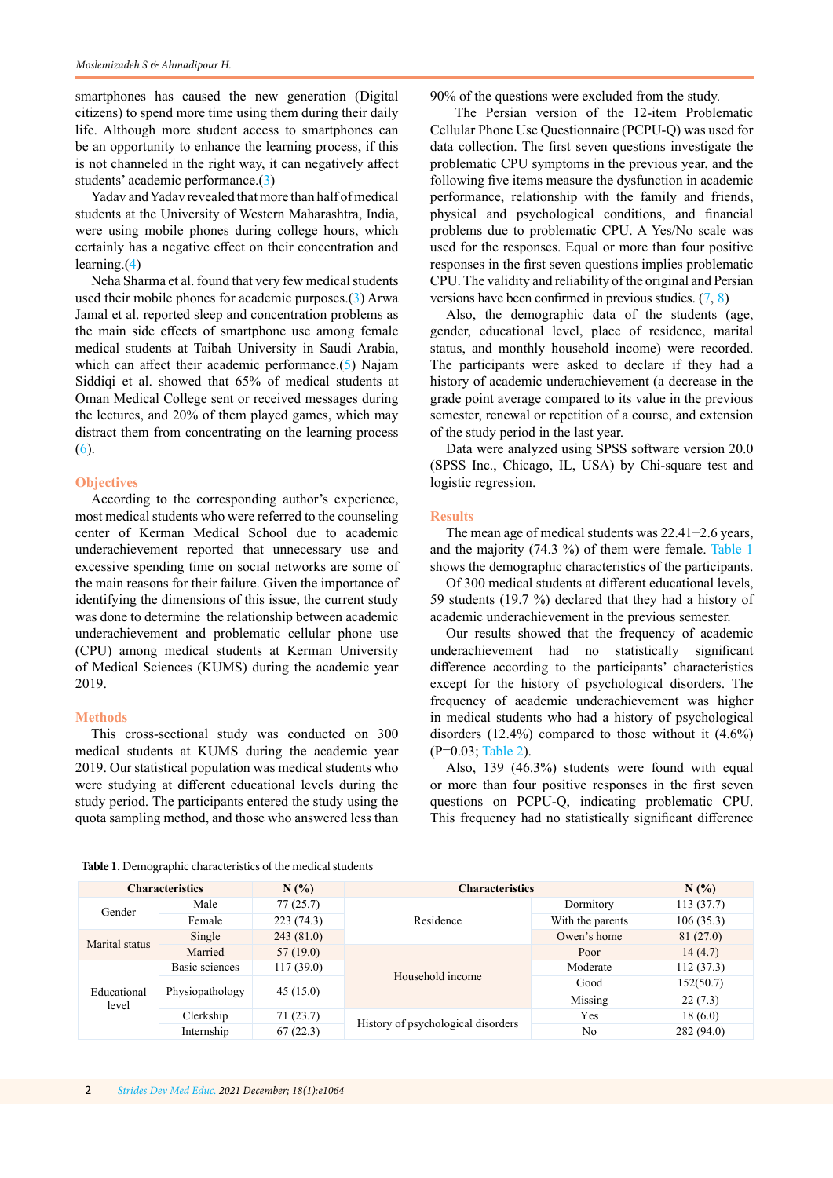smartphones has caused the new generation (Digital citizens) to spend more time using them during their daily life. Although more student access to smartphones can be an opportunity to enhance the learning process, if this is not channeled in the right way, it can negatively affect students' academic performance.[\(3](#page-3-0))

Yadav and Yadav revealed that more than half of medical students at the University of Western Maharashtra, India, were using mobile phones during college hours, which certainly has a negative effect on their concentration and learning.([4](#page-3-0))

Neha Sharma et al. found that very few medical students used their mobile phones for academic purposes.[\(3](#page-3-0)) Arwa Jamal et al. reported sleep and concentration problems as the main side effects of smartphone use among female medical students at Taibah University in Saudi Arabia, which can affect their academic performance.([5](#page-3-0)) Najam Siddiqi et al. showed that 65% of medical students at Oman Medical College sent or received messages during the lectures, and 20% of them played games, which may distract them from concentrating on the learning process [\(6](#page-3-0)).

# **Objectives**

According to the corresponding author's experience, most medical students who were referred to the counseling center of Kerman Medical School due to academic underachievement reported that unnecessary use and excessive spending time on social networks are some of the main reasons for their failure. Given the importance of identifying the dimensions of this issue, the current study was done to determine the relationship between academic underachievement and problematic cellular phone use (CPU) among medical students at Kerman University of Medical Sciences (KUMS) during the academic year 2019.

#### **Methods**

This cross-sectional study was conducted on 300 medical students at KUMS during the academic year 2019. Our statistical population was medical students who were studying at different educational levels during the study period. The participants entered the study using the quota sampling method, and those who answered less than 90% of the questions were excluded from the study.

 The Persian version of the 12-item Problematic Cellular Phone Use Questionnaire (PCPU-Q) was used for data collection. The first seven questions investigate the problematic CPU symptoms in the previous year, and the following five items measure the dysfunction in academic performance, relationship with the family and friends, physical and psychological conditions, and financial problems due to problematic CPU. A Yes/No scale was used for the responses. Equal or more than four positive responses in the first seven questions implies problematic CPU. The validity and reliability of the original and Persian versions have been confirmed in previous studies. ([7,](#page-3-0) [8](#page-3-0))

Also, the demographic data of the students (age, gender, educational level, place of residence, marital status, and monthly household income) were recorded. The participants were asked to declare if they had a history of academic underachievement (a decrease in the grade point average compared to its value in the previous semester, renewal or repetition of a course, and extension of the study period in the last year.

Data were analyzed using SPSS software version 20.0 (SPSS Inc., Chicago, IL, USA) by Chi-square test and logistic regression.

# **Results**

The mean age of medical students was  $22.41 \pm 2.6$  years, and the majority (74.3 %) of them were female. Table 1 shows the demographic characteristics of the participants.

Of 300 medical students at different educational levels, 59 students (19.7 %) declared that they had a history of academic underachievement in the previous semester.

Our results showed that the frequency of academic underachievement had no statistically significant difference according to the participants' characteristics except for the history of psychological disorders. The frequency of academic underachievement was higher in medical students who had a history of psychological disorders (12.4%) compared to those without it (4.6%) (P=0.03; [Table 2](#page-2-0)).

Also, 139 (46.3%) students were found with equal or more than four positive responses in the first seven questions on PCPU-Q, indicating problematic CPU. This frequency had no statistically significant difference

| <b>Characteristics</b> |                 | N(%       | <b>Characteristics</b>             | N(%)             |            |
|------------------------|-----------------|-----------|------------------------------------|------------------|------------|
| Gender                 | Male            | 77(25.7)  |                                    | Dormitory        | 113(37.7)  |
|                        | Female          | 223(74.3) | Residence                          | With the parents | 106(35.3)  |
| Marital status         | Single          | 243(81.0) |                                    | Owen's home      | 81 (27.0)  |
|                        | Married         | 57(19.0)  |                                    | Poor             | 14(4.7)    |
| Educational<br>level   | Basic sciences  | 117(39.0) |                                    | Moderate         | 112(37.3)  |
|                        | Physiopathology | 45(15.0)  | Household income                   | Good             | 152(50.7)  |
|                        |                 |           |                                    | Missing          | 22(7.3)    |
|                        | Clerkship       | 71(23.7)  |                                    | Yes              | 18(6.0)    |
|                        | Internship      | 67(22.3)  | History of psychological disorders | No               | 282 (94.0) |

**Table 1.** Demographic characteristics of the medical students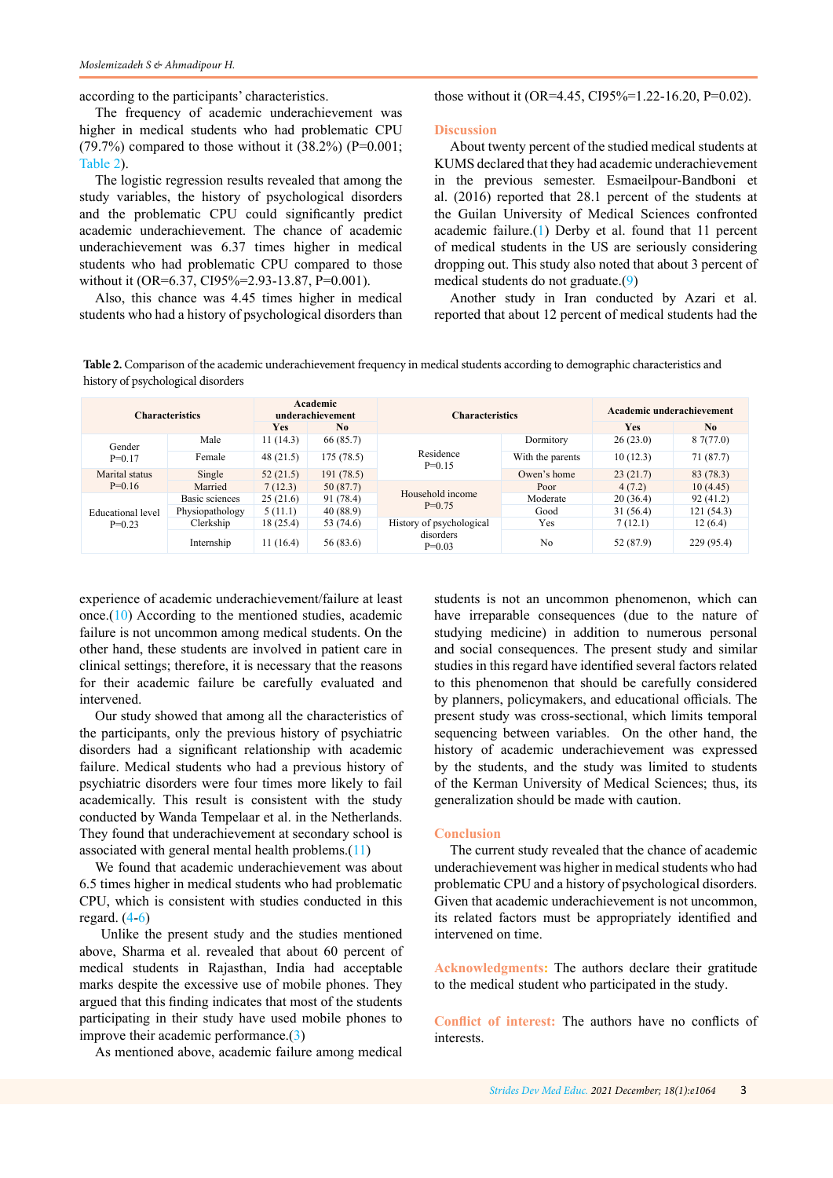<span id="page-2-0"></span>according to the participants' characteristics.

those without it (OR=4.45, CI95%=1.22-16.20, P=0.02).

The frequency of academic underachievement was higher in medical students who had problematic CPU (79.7%) compared to those without it  $(38.2\%)$  (P=0.001; Table 2).

The logistic regression results revealed that among the study variables, the history of psychological disorders and the problematic CPU could significantly predict academic underachievement. The chance of academic underachievement was 6.37 times higher in medical students who had problematic CPU compared to those without it (OR=6.37, CI95%=2.93-13.87, P=0.001).

Also, this chance was 4.45 times higher in medical students who had a history of psychological disorders than

## **Discussion**

About twenty percent of the studied medical students at KUMS declared that they had academic underachievement in the previous semester. Esmaeilpour-Bandboni et al. (2016) reported that 28.1 percent of the students at the Guilan University of Medical Sciences confronted academic failure.[\(1](#page-3-0)) Derby et al. found that 11 percent of medical students in the US are seriously considering dropping out. This study also noted that about 3 percent of medical students do not graduate.([9](#page-3-0))

Another study in Iran conducted by Azari et al. reported that about 12 percent of medical students had the

**Table 2.** Comparison of the academic underachievement frequency in medical students according to demographic characteristics and history of psychological disorders

| <b>Characteristics</b>               |                 | Academic<br>underachievement |                | <b>Characteristics</b>                            |                  | Academic underachievement |                |
|--------------------------------------|-----------------|------------------------------|----------------|---------------------------------------------------|------------------|---------------------------|----------------|
|                                      |                 | <b>Yes</b>                   | N <sub>0</sub> |                                                   |                  | Yes                       | N <sub>0</sub> |
| Gender<br>$P=0.17$                   | Male            | 11(14.3)                     | 66 (85.7)      | Residence<br>$P=0.15$                             | Dormitory        | 26(23.0)                  | 87(77.0)       |
|                                      | Female          | 48(21.5)                     | 175(78.5)      |                                                   | With the parents | 10(12.3)                  | 71 (87.7)      |
| Marital status<br>$P=0.16$           | Single          | 52(21.5)                     | 191(78.5)      |                                                   | Owen's home      | 23(21.7)                  | 83 (78.3)      |
|                                      | Married         | 7(12.3)                      | 50(87.7)       | Household income<br>$P=0.75$                      | Poor             | 4(7.2)                    | 10(4.45)       |
| <b>Educational</b> level<br>$P=0.23$ | Basic sciences  | 25(21.6)                     | 91 (78.4)      |                                                   | Moderate         | 20(36.4)                  | 92(41.2)       |
|                                      | Physiopathology | 5(11.1)                      | 40 (88.9)      |                                                   | Good             | 31(56.4)                  | 121(54.3)      |
|                                      | Clerkship       | 18 (25.4)                    | 53 (74.6)      | History of psychological<br>disorders<br>$P=0.03$ | Yes              | 7(12.1)                   | 12(6.4)        |
|                                      | Internship      | 11(16.4)                     | 56 (83.6)      |                                                   | No               | 52 (87.9)                 | 229 (95.4)     |

experience of academic underachievement/failure at least once.([10](#page-3-0)) According to the mentioned studies, academic failure is not uncommon among medical students. On the other hand, these students are involved in patient care in clinical settings; therefore, it is necessary that the reasons for their academic failure be carefully evaluated and intervened.

Our study showed that among all the characteristics of the participants, only the previous history of psychiatric disorders had a significant relationship with academic failure. Medical students who had a previous history of psychiatric disorders were four times more likely to fail academically. This result is consistent with the study conducted by Wanda Tempelaar et al. in the Netherlands. They found that underachievement at secondary school is associated with general mental health problems.([11\)](#page-3-0)

We found that academic underachievement was about 6.5 times higher in medical students who had problematic CPU, which is consistent with studies conducted in this regard.  $(4-6)$  $(4-6)$  $(4-6)$  $(4-6)$ 

 Unlike the present study and the studies mentioned above, Sharma et al. revealed that about 60 percent of medical students in Rajasthan, India had acceptable marks despite the excessive use of mobile phones. They argued that this finding indicates that most of the students participating in their study have used mobile phones to improve their academic performance.([3\)](#page-3-0)

As mentioned above, academic failure among medical

students is not an uncommon phenomenon, which can have irreparable consequences (due to the nature of studying medicine) in addition to numerous personal and social consequences. The present study and similar studies in this regard have identified several factors related to this phenomenon that should be carefully considered by planners, policymakers, and educational officials. The present study was cross-sectional, which limits temporal sequencing between variables. On the other hand, the history of academic underachievement was expressed by the students, and the study was limited to students of the Kerman University of Medical Sciences; thus, its generalization should be made with caution.

# **Conclusion**

The current study revealed that the chance of academic underachievement was higher in medical students who had problematic CPU and a history of psychological disorders. Given that academic underachievement is not uncommon, its related factors must be appropriately identified and intervened on time.

**Acknowledgments:** The authors declare their gratitude to the medical student who participated in the study.

**Conflict of interest:** The authors have no conflicts of interests.